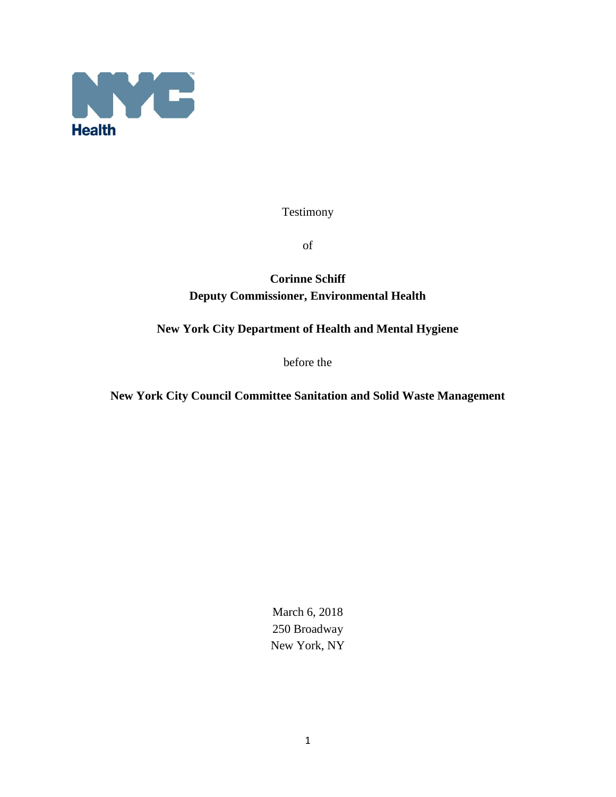

Testimony

of

## **Corinne Schiff Deputy Commissioner, Environmental Health**

## **New York City Department of Health and Mental Hygiene**

before the

**New York City Council Committee Sanitation and Solid Waste Management**

March 6, 2018 250 Broadway New York, NY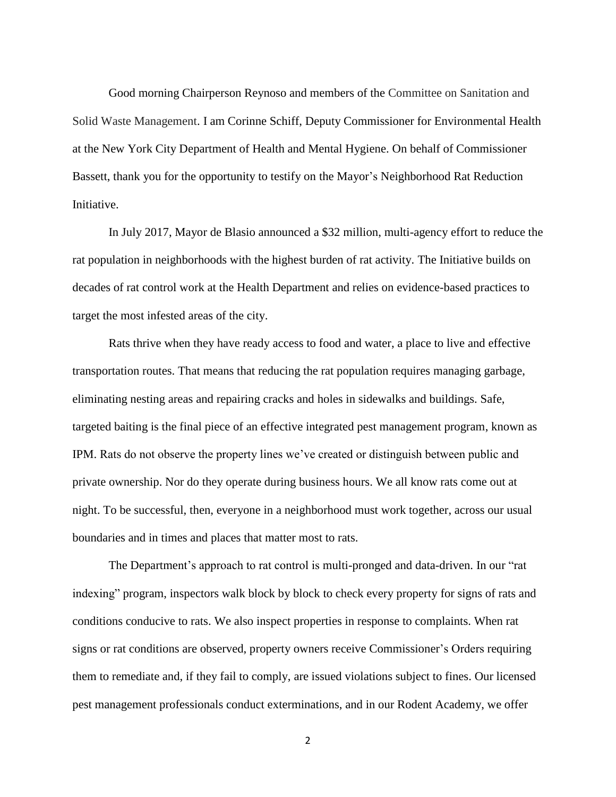Good morning Chairperson Reynoso and members of the Committee on Sanitation and Solid Waste Management. I am Corinne Schiff, Deputy Commissioner for Environmental Health at the New York City Department of Health and Mental Hygiene. On behalf of Commissioner Bassett, thank you for the opportunity to testify on the Mayor's Neighborhood Rat Reduction Initiative.

In July 2017, Mayor de Blasio announced a \$32 million, multi-agency effort to reduce the rat population in neighborhoods with the highest burden of rat activity. The Initiative builds on decades of rat control work at the Health Department and relies on evidence-based practices to target the most infested areas of the city.

Rats thrive when they have ready access to food and water, a place to live and effective transportation routes. That means that reducing the rat population requires managing garbage, eliminating nesting areas and repairing cracks and holes in sidewalks and buildings. Safe, targeted baiting is the final piece of an effective integrated pest management program, known as IPM. Rats do not observe the property lines we've created or distinguish between public and private ownership. Nor do they operate during business hours. We all know rats come out at night. To be successful, then, everyone in a neighborhood must work together, across our usual boundaries and in times and places that matter most to rats.

The Department's approach to rat control is multi-pronged and data-driven. In our "rat indexing" program, inspectors walk block by block to check every property for signs of rats and conditions conducive to rats. We also inspect properties in response to complaints. When rat signs or rat conditions are observed, property owners receive Commissioner's Orders requiring them to remediate and, if they fail to comply, are issued violations subject to fines. Our licensed pest management professionals conduct exterminations, and in our Rodent Academy, we offer

2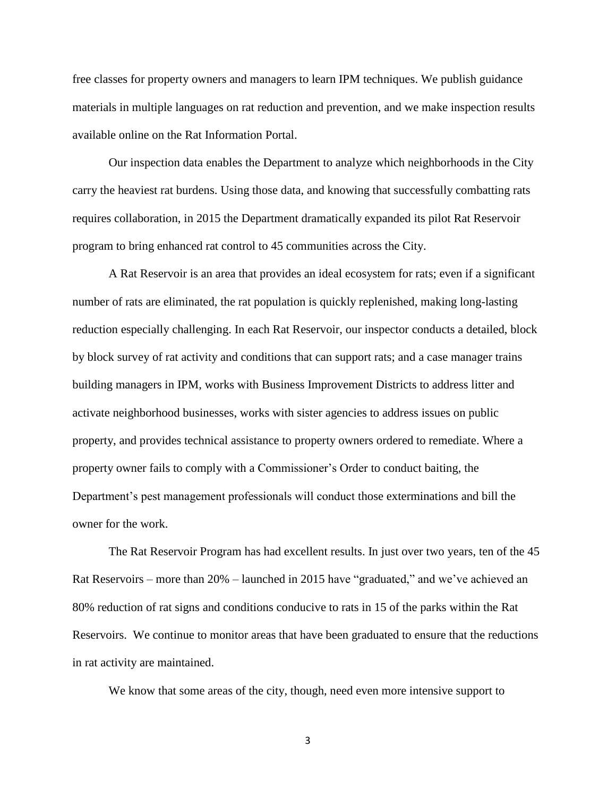free classes for property owners and managers to learn IPM techniques. We publish guidance materials in multiple languages on rat reduction and prevention, and we make inspection results available online on the Rat Information Portal.

Our inspection data enables the Department to analyze which neighborhoods in the City carry the heaviest rat burdens. Using those data, and knowing that successfully combatting rats requires collaboration, in 2015 the Department dramatically expanded its pilot Rat Reservoir program to bring enhanced rat control to 45 communities across the City.

A Rat Reservoir is an area that provides an ideal ecosystem for rats; even if a significant number of rats are eliminated, the rat population is quickly replenished, making long-lasting reduction especially challenging. In each Rat Reservoir, our inspector conducts a detailed, block by block survey of rat activity and conditions that can support rats; and a case manager trains building managers in IPM, works with Business Improvement Districts to address litter and activate neighborhood businesses, works with sister agencies to address issues on public property, and provides technical assistance to property owners ordered to remediate. Where a property owner fails to comply with a Commissioner's Order to conduct baiting, the Department's pest management professionals will conduct those exterminations and bill the owner for the work.

The Rat Reservoir Program has had excellent results. In just over two years, ten of the 45 Rat Reservoirs – more than 20% – launched in 2015 have "graduated," and we've achieved an 80% reduction of rat signs and conditions conducive to rats in 15 of the parks within the Rat Reservoirs. We continue to monitor areas that have been graduated to ensure that the reductions in rat activity are maintained.

We know that some areas of the city, though, need even more intensive support to

3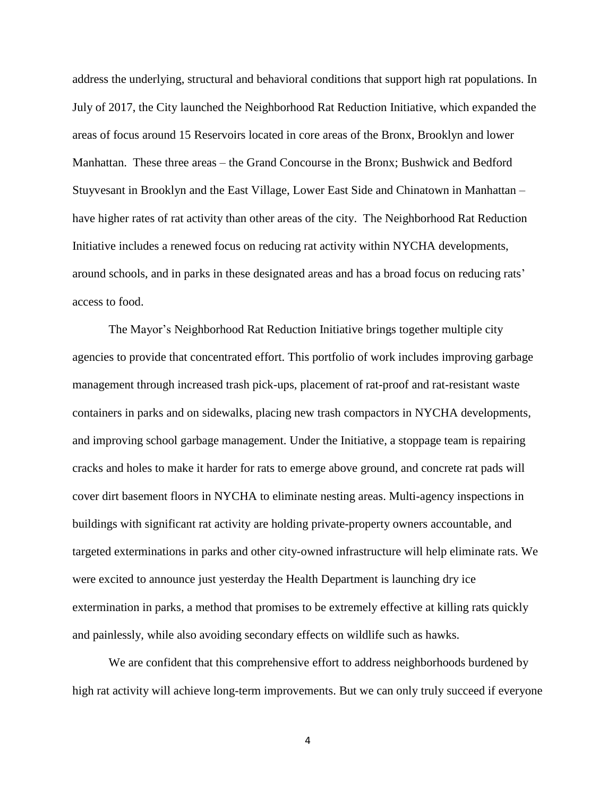address the underlying, structural and behavioral conditions that support high rat populations. In July of 2017, the City launched the Neighborhood Rat Reduction Initiative, which expanded the areas of focus around 15 Reservoirs located in core areas of the Bronx, Brooklyn and lower Manhattan. These three areas – the Grand Concourse in the Bronx; Bushwick and Bedford Stuyvesant in Brooklyn and the East Village, Lower East Side and Chinatown in Manhattan – have higher rates of rat activity than other areas of the city. The Neighborhood Rat Reduction Initiative includes a renewed focus on reducing rat activity within NYCHA developments, around schools, and in parks in these designated areas and has a broad focus on reducing rats' access to food.

The Mayor's Neighborhood Rat Reduction Initiative brings together multiple city agencies to provide that concentrated effort. This portfolio of work includes improving garbage management through increased trash pick-ups, placement of rat-proof and rat-resistant waste containers in parks and on sidewalks, placing new trash compactors in NYCHA developments, and improving school garbage management. Under the Initiative, a stoppage team is repairing cracks and holes to make it harder for rats to emerge above ground, and concrete rat pads will cover dirt basement floors in NYCHA to eliminate nesting areas. Multi-agency inspections in buildings with significant rat activity are holding private-property owners accountable, and targeted exterminations in parks and other city-owned infrastructure will help eliminate rats. We were excited to announce just yesterday the Health Department is launching dry ice extermination in parks, a method that promises to be extremely effective at killing rats quickly and painlessly, while also avoiding secondary effects on wildlife such as hawks.

We are confident that this comprehensive effort to address neighborhoods burdened by high rat activity will achieve long-term improvements. But we can only truly succeed if everyone

4